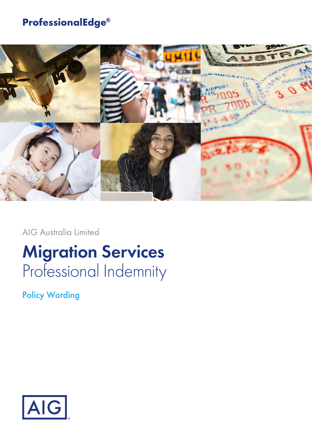# **ProfessionalEdge®**



AIG Australia Limited

# **Migration Services** Professional Indemnity

Policy Wording

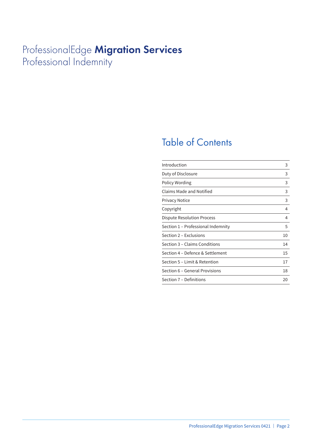# ProfessionalEdge **Migration Services** Professional Indemnity

# Table of Contents

| Introduction                       | 3  |
|------------------------------------|----|
| Duty of Disclosure                 | 3  |
| Policy Wording                     | 3  |
| <b>Claims Made and Notified</b>    | 3  |
| <b>Privacy Notice</b>              | 3  |
| Copyright                          | 4  |
| Dispute Resolution Process         | 4  |
| Section 1 – Professional Indemnity | 5  |
| Section 2 - Exclusions             | 10 |
| Section 3 – Claims Conditions      | 14 |
| Section 4 - Defence & Settlement   | 15 |
| Section 5 – Limit & Retention      | 17 |
| Section 6 - General Provisions     | 18 |
| Section 7 - Definitions            | 20 |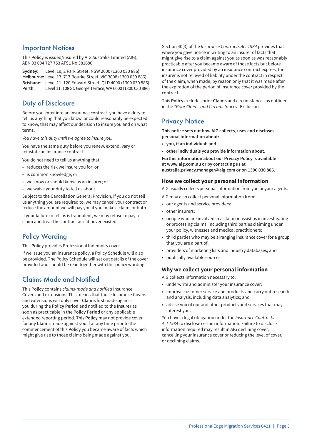### Important Notices

This **Policy** is issued/insured by AIG Australia Limited (AIG), ABN 93 004 727 753 AFSL No 381686

**Sydney:** Level 19, 2 Park Street, NSW 2000 (1300 030 886) **Melbourne:** Level 13, 717 Bourke Street, VIC 3008 (1300 030 886) **Brisbane:** Level 11, 120 Edward Street, QLD 4000 (1300 030 886) **Perth:** Level 11, 108 St. George Terrace, WA 6000 (1300 030 886)

### Duty of Disclosure

Before you enter into an insurance contract, you have a duty to tell us anything that you know, or could reasonably be expected to know, that may affect our decision to insure you and on what terms.

*You have this duty until we agree to insure you.*

You have the same duty before you renew, extend, vary or reinstate an insurance contract.

You do not need to tell us anything that:

- reduces the risk we insure you for; or
- is common knowledge; or
- we know or should know as an insurer; or
- we waive your duty to tell us about.

Subject to the Cancellation General Provision, if you do not tell us anything you are required to, we may cancel your contract or reduce the amount we will pay you if you make a claim, or both.

If your failure to tell us is fraudulent, we may refuse to pay a claim and treat the contract as if it never existed.

# Policy Wording

This **Policy** provides Professional Indemnity cover.

If we issue you an insurance policy, a Policy Schedule will also be provided. The Policy Schedule will set out details of the cover provided and should be read together with this policy wording.

# Claims Made and Notified

This **Policy** contains *claims-made and notified* Insurance Covers and extensions. This means that those Insurance Covers and extensions will only cover **Claims** first made against you during the **Policy Period** and notified to the **Insurer** as soon as practicable in the **Policy Period** or any applicable extended reporting period. This **Policy** may not provide cover for any **Claims** made against you if at any time prior to the commencement of this **Policy** you became aware of facts which might give rise to those claims being made against you.

Section 40(3) of the *Insurance Contracts Act 1984* provides that where you gave notice in writing to an insurer of facts that might give rise to a claim against you as soon as was reasonably practicable after you became aware of those facts but before insurance cover provided by an insurance contract expires, the insurer is not relieved of liability under the contract in respect of the claim, when made, by reason only that it was made after the expiration of the period of insurance cover provided by the contract.

This **Policy** excludes prior **Claims** and circumstances as outlined in the *"Prior Claims and Circumstances"* Exclusion.

### **Privacy Notice**

**This notice sets out how AIG collects, uses and discloses personal information about:**

- **you, if an individual; and**
- **other individuals you provide information about.**

**Further information about our Privacy Policy is available at www.aig.com.au or by contacting us at australia.privacy.manager@aig.com or on 1300 030 886.**

#### **How we collect your personal information**

AIG usually collects personal information from you or your agents.

- AIG may also collect personal information from:
- our agents and service providers;
- other insurers;
- people who are involved in a claim or assist us in investigating or processing claims, including third parties claiming under your policy, witnesses and medical practitioners;
- third parties who may be arranging insurance cover for a group that you are a part of;
- providers of marketing lists and industry databases; and
- publically available sources.

#### **Why we collect your personal information**

AIG collects information necessary to:

- underwrite and administer your insurance cover;
- improve customer service and products and carry out research and analysis, including data analytics; and
- advise you of our and other products and services that may interest you.

You have a legal obligation under the *Insurance Contracts Act 1984* to disclose certain information. Failure to disclose information required may result in AIG declining cover, cancelling your insurance cover or reducing the level of cover, or declining claims.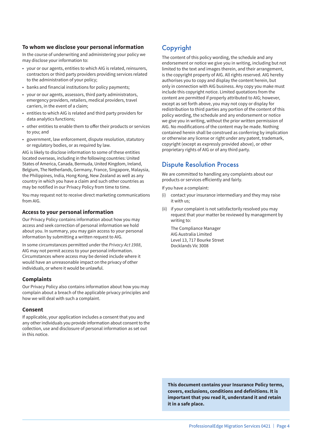#### **To whom we disclose your personal information**

In the course of underwriting and administering your policy we may disclose your information to:

- your or our agents, entities to which AIG is related, reinsurers, contractors or third party providers providing services related to the administration of your policy;
- banks and financial institutions for policy payments;
- your or our agents, assessors, third party administrators, emergency providers, retailers, medical providers, travel carriers, in the event of a claim;
- entities to which AIG is related and third party providers for data analytics functions;
- other entities to enable them to offer their products or services to you; and
- government, law enforcement, dispute resolution, statutory or regulatory bodies, or as required by law.

AIG is likely to disclose information to some of these entities located overseas, including in the following countries: United States of America, Canada, Bermuda, United Kingdom, Ireland, Belgium, The Netherlands, Germany, France, Singapore, Malaysia, the Philippines, India, Hong Kong, New Zealand as well as any country in which you have a claim and such other countries as may be notified in our Privacy Policy from time to time.

You may request not to receive direct marketing communications from AIG.

#### **Access to your personal information**

Our Privacy Policy contains information about how you may access and seek correction of personal information we hold about you. In summary, you may gain access to your personal information by submitting a written request to AIG.

In some circumstances permitted under the *Privacy Act 1988*, AIG may not permit access to your personal information. Circumstances where access may be denied include where it would have an unreasonable impact on the privacy of other individuals, or where it would be unlawful.

#### **Complaints**

Our Privacy Policy also contains information about how you may complain about a breach of the applicable privacy principles and how we will deal with such a complaint.

#### **Consent**

If applicable, your application includes a consent that you and any other individuals you provide information about consent to the collection, use and disclosure of personal information as set out in this notice.

# Copyright

The content of this policy wording, the schedule and any endorsement or notice we give you in writing, including but not limited to the text and images therein, and their arrangement, is the copyright property of AIG. All rights reserved. AIG hereby authorises you to copy and display the content herein, but only in connection with AIG business. Any copy you make must include this copyright notice. Limited quotations from the content are permitted if properly attributed to AIG; however, except as set forth above, you may not copy or display for redistribution to third parties any portion of the content of this policy wording, the schedule and any endorsement or notice we give you in writing, without the prior written permission of AIG. No modifications of the content may be made. Nothing contained herein shall be construed as conferring by implication or otherwise any license or right under any patent, trademark, copyright (except as expressly provided above), or other proprietary rights of AIG or of any third party.

### Dispute Resolution Process

We are committed to handling any complaints about our products or services efficiently and fairly.

If you have a complaint:

- (i) contact your insurance intermediary and they may raise it with us;
- (ii) if your complaint is not satisfactorily resolved you may request that your matter be reviewed by management by writing to:

The Compliance Manager AIG Australia Limited Level 13, 717 Bourke Street Docklands Vic 3008

**This document contains your Insurance Policy terms, covers, exclusions, conditions and definitions. It is important that you read it, understand it and retain it in a safe place.**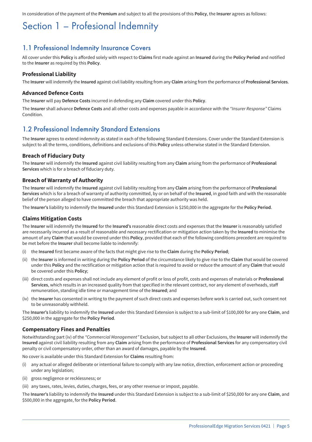In consideration of the payment of the **Premium** and subject to all the provisions of this **Policy**, the **Insurer** agrees as follows:

# Section 1 – Profesional Indemnity

### 1.1 Professional Indemnity Insurance Covers

All cover under this **Policy** is afforded solely with respect to **Claims** first made against an **Insured** during the **Policy Period** and notified to the **Insurer** as required by this **Policy**.

#### **Professional Liability**

The **Insurer** will indemnify the **Insured** against civil liability resulting from any **Claim** arising from the performance of **Professional Services**.

#### **Advanced Defence Costs**

The **Insurer** will pay **Defence Costs** incurred in defending any **Claim** covered under this **Policy**.

The **Insurer** shall advance **Defence Costs** and all other costs and expenses payable in accordance with the *"Insurer Response"* Claims **Condition** 

### 1.2 Professional Indemnity Standard Extensions

The **Insurer** agrees to extend indemnity as stated in each of the following Standard Extensions. Cover under the Standard Extension is subject to all the terms, conditions, definitions and exclusions of this **Policy** unless otherwise stated in the Standard Extension.

#### **Breach of Fiduciary Duty**

The **Insurer** will indemnify the **Insured** against civil liability resulting from any **Claim** arising from the performance of **Professional Services** which is for a breach of fiduciary duty.

#### **Breach of Warranty of Authority**

The **Insurer** will indemnify the **Insured** against civil liability resulting from any **Claim** arising from the performance of **Professional Services** which is for a breach of warranty of authority committed, by or on behalf of the **Insured**, in good faith and with the reasonable belief of the person alleged to have committed the breach that appropriate authority was held.

The **Insurer's** liability to indemnify the **Insured** under this Standard Extension is \$250,000 in the aggregate for the **Policy Period**.

#### **Claims Mitigation Costs**

The **Insurer** will indemnify the **Insured** for the **Insured's** reasonable direct costs and expenses that the **Insurer** is reasonably satisfied are necessarily incurred as a result of reasonable and necessary rectification or mitigation action taken by the **Insured** to minimise the amount of any **Claim** that would be covered under this **Policy**, provided that each of the following conditions precedent are required to be met before the **Insurer** shall become liable to indemnify:

- (i) the **Insured** first became aware of the facts that might give rise to the **Claim** during the **Policy Period**;
- (ii) the **Insurer** is informed in writing during the **Policy Period** of the circumstance likely to give rise to the **Claim** that would be covered under this **Policy** and the rectification or mitigation action that is required to avoid or reduce the amount of any **Claim** that would be covered under this **Policy**;
- (iii) direct costs and expenses shall not include any element of profit or loss of profit, costs and expenses of materials or **Professional Services**, which results in an increased quality from that specified in the relevant contract, nor any element of overheads, staff remuneration, standing idle time or management time of the **Insured**; and
- (iv) the **Insurer** has consented in writing to the payment of such direct costs and expenses before work is carried out, such consent not to be unreasonably withheld.

The **Insurer's** liability to indemnify the **Insured** under this Standard Extension is subject to a sub-limit of \$100,000 for any one **Claim**, and \$250,000 in the aggregate for the **Policy Period**.

#### **Compensatory Fines and Penalties**

Notwithstanding part (iv) of the *"Commercial Management"* Exclusion, but subject to all other Exclusions, the **Insurer** will indemnify the **Insured** against civil liability resulting from any **Claim** arising from the performance of **Professional Services** for any compensatory civil penalty or civil compensatory order, other than an award of damages, payable by the **Insured**.

No cover is available under this Standard Extension for **Claims** resulting from:

- (i) any actual or alleged deliberate or intentional failure to comply with any law notice, direction, enforcement action or proceeding under any legislation;
- (ii) gross negligence or recklessness; or
- (iii) any taxes, rates, levies, duties, charges, fees, or any other revenue or impost, payable.

The **Insurer's** liability to indemnify the **Insured** under this Standard Extension is subject to a sub-limit of \$250,000 for any one **Claim**, and \$500,000 in the aggregate, for the **Policy Period**.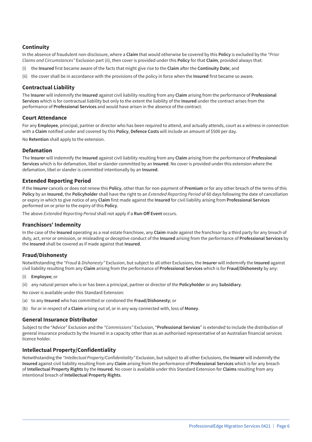#### **Continuity**

In the absence of fraudulent non-disclosure, where a **Claim** that would otherwise be covered by this **Policy** is excluded by the *"Prior Claims and Circumstances"* Exclusion part (ii), then cover is provided under this **Policy** for that **Claim**, provided always that:

- (i) the **Insured** first became aware of the facts that might give rise to the **Claim** after the **Continuity Date**; and
- (ii) the cover shall be in accordance with the provisions of the policy in force when the **Insured** first became so aware.

#### **Contractual Liability**

The **Insurer** will indemnify the **Insured** against civil liability resulting from any **Claim** arising from the performance of **Professional Services** which is for contractual liability but only to the extent the liability of the **Insured** under the contract arises from the performance of **Professional Services** and would have arisen in the absence of the contract.

#### **Court Attendance**

For any **Employee**, principal, partner or director who has been required to attend, and actually attends, court as a witness in connection with a **Claim** notified under and covered by this **Policy**, **Defence Costs** will include an amount of \$500 per day.

No **Retention** shall apply to the extension.

#### **Defamation**

The **Insurer** will indemnify the **Insured** against civil liability resulting from any **Claim** arising from the performance of **Professional Services** which is for defamation, libel or slander committed by an **Insured**. No cover is provided under this extension where the defamation, libel or slander is committed intentionally by an **Insured**.

#### **Extended Reporting Period**

If the **Insurer** cancels or does not renew this **Policy**, other than for non-payment of **Premium** or for any other breach of the terms of this **Policy** by an **Insured**, the **Policyholder** shall have the right to an *Extended Reporting Period* of 60 days following the date of cancellation or expiry in which to give notice of any **Claim** first made against the **Insured** for civil liability arising from **Professional Services** performed on or prior to the expiry of this **Policy**.

The above *Extended Reporting Period* shall not apply if a **Run-Off Event** occurs.

#### **Franchisors' Indemnity**

In the case of the **Insured** operating as a real estate franchisee, any **Claim** made against the franchisor by a third party for any breach of duty, act, error or omission, or misleading or deceptive conduct of the **Insured** arising from the performance of **Professional Services** by the **Insured** shall be covered as if made against that **Insured**.

#### **Fraud/Dishonesty**

Notwithstanding the *"Fraud & Dishonesty"* Exclusion, but subject to all other Exclusions, the **Insurer** will indemnify the **Insured** against civil liability resulting from any **Claim** arising from the performance of **Professional Services** which is for **Fraud/Dishonesty** by any:

- **Employee**; or
- (ii) any natural person who is or has been a principal, partner or director of the **Policyholder** or any **Subsidiary**.
- No cover is available under this Standard Extension:
- (a) to any **Insured** who has committed or condoned the **Fraud/Dishonesty**; or
- (b) for or in respect of a **Claim** arising out of, or in any way connected with, loss of **Money**.

#### **General Insurance Distributor**

Subject to the "Advice" Exclusion and the *"Commissions"* Exclusion, "**Professional Services**" is extended to include the distribution of general insurance products by the Insured in a capacity other than as an authorised representative of an Australian financial services licence holder.

#### **Intellectual Property/Confidentiality**

Notwithstanding the *"Intellectual Property/Confidentiality"* Exclusion, but subject to all other Exclusions, the **Insurer** will indemnify the **Insured** against civil liability resulting from any **Claim** arising from the performance of **Professional Services** which is for any breach of **Intellectual Property Rights** by the **Insured**. No cover is available under this Standard Extension for **Claims** resulting from any intentional breach of **Intellectual Property Rights**.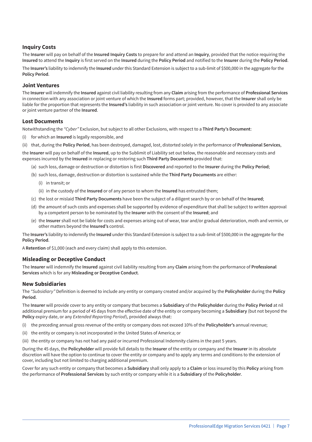#### **Inquiry Costs**

The **Insurer** will pay on behalf of the **Insured Inquiry Costs** to prepare for and attend an **Inquiry**, provided that the notice requiring the **Insured** to attend the **Inquiry** is first served on the **Insured** during the **Policy Period** and notified to the **Insurer** during the **Policy Period**.

The **Insurer's** liability to indemnify the **Insured** under this Standard Extension is subject to a sub-limit of \$500,000 in the aggregate for the **Policy Period**.

#### **Joint Ventures**

The **Insurer** will indemnify the **Insured** against civil liability resulting from any **Claim** arising from the performance of **Professional Services** in connection with any association or joint venture of which the **Insured** forms part; provided, however, that the **Insurer** shall only be liable for the proportion that represents the **Insured's** liability in such association or joint venture. No cover is provided to any associate or joint venture partner of the **Insured**.

#### **Lost Documents**

Notwithstanding the *"Cyber"* Exclusion, but subject to all other Exclusions, with respect to a **Third Party's Document**:

- (i) for which an **Insured** is legally responsible, and
- (ii) that, during the **Policy Period**, has been destroyed, damaged, lost, distorted solely in the performance of **Professional Services**,

the **Insurer** will pay on behalf of the **Insured**, up to the Sublimit of Liability set out below, the reasonable and necessary costs and expenses incurred by the **Insured** in replacing or restoring such **Third Party Documents** provided that:

- (a) such loss, damage or destruction or distortion is first **Discovered** and reported to the **Insurer** during the **Policy Period**;
- (b) such loss, damage, destruction or distortion is sustained while the **Third Party Documents** are either:
	- (i) in transit; or
	- (ii) in the custody of the **Insured** or of any person to whom the **Insured** has entrusted them;
- (c) the lost or mislaid **Third Party Documents** have been the subject of a diligent search by or on behalf of the **Insured**;
- (d) the amount of such costs and expenses shall be supported by evidence of expenditure that shall be subject to written approval by a competent person to be nominated by the **Insurer** with the consent of the **Insured**; and
- (e) the **Insurer** shall not be liable for costs and expenses arising out of wear, tear and/or gradual deterioration, moth and vermin, or other matters beyond the **Insured's** control.

The **Insurer's** liability to indemnify the **Insured** under this Standard Extension is subject to a sub-limit of \$500,000 in the aggregate for the **Policy Period**.

A **Retention** of \$1,000 (each and every claim) shall apply to this extension.

#### **Misleading or Deceptive Conduct**

The **Insurer** will indemnify the **Insured** against civil liability resulting from any **Claim** arising from the performance of **Professional Services** which is for any **Misleading or Deceptive Conduct**.

#### **New Subsidiaries**

The *"Subsidiary"* Definition is deemed to include any entity or company created and/or acquired by the **Policyholder** during the **Policy Period**.

The **Insurer** will provide cover to any entity or company that becomes a **Subsidiary** of the **Policyholder** during the **Policy Period** at nil additional premium for a period of 45 days from the effective date of the entity or company becoming a **Subsidiary** (but not beyond the **Policy** expiry date, or any *Extended Reporting Period*), provided always that:

- (i) the preceding annual gross revenue of the entity or company does not exceed 10% of the **Policyholder's** annual revenue;
- (ii) the entity or company is not incorporated in the United States of America; or
- (iii) the entity or company has not had any paid or incurred Professional Indemnity claims in the past 5 years.

During the 45 days, the **Policyholder** will provide full details to the **Insurer** of the entity or company and the **Insurer** in its absolute discretion will have the option to continue to cover the entity or company and to apply any terms and conditions to the extension of cover, including but not limited to charging additional premium.

Cover for any such entity or company that becomes a **Subsidiary** shall only apply to a **Claim** or loss insured by this **Policy** arising from the performance of **Professional Services** by such entity or company while it is a **Subsidiary** of the **Policyholder**.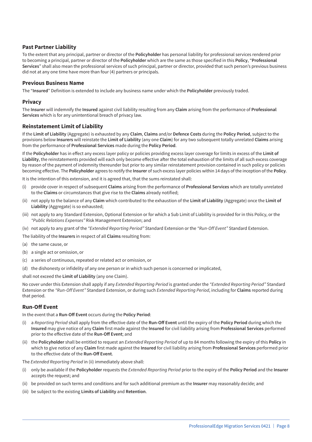#### **Past Partner Liability**

To the extent that any principal, partner or director of the **Policyholder** has personal liability for professional services rendered prior to becoming a principal, partner or director of the **Policyholder** which are the same as those specified in this **Policy**, "**Professional Services**" shall also mean the professional services of such principal, partner or director, provided that such person's previous business did not at any one time have more than four (4) partners or principals.

#### **Previous Business Name**

The "**Insured**" Definition is extended to include any business name under which the **Policyholder** previously traded.

#### **Privacy**

The **Insurer** will indemnify the **Insured** against civil liability resulting from any **Claim** arising from the performance of **Professional Services** which is for any unintentional breach of privacy law.

#### **Reinstatement Limit of Liability**

If the **Limit of Liability** (Aggregate) is exhausted by any **Claim**, **Claims** and/or **Defence Costs** during the **Policy Period**, subject to the provisions below **Insurers** will reinstate the **Limit of Liability** (any one **Claim**) for any two subsequent totally unrelated **Claims** arising from the performance of **Professional Services** made during the **Policy Period**.

If the **Policyholder** has in effect any excess layer policy or policies providing excess layer coverage for limits in excess of the **Limit of Liability**, the reinstatements provided will each only become effective after the total exhaustion of the limits of all such excess coverage by reason of the payment of indemnity thereunder but prior to any similar reinstatement provision contained in such policy or policies becoming effective. The **Policyholder** agrees to notify the **Insurer** of such excess layer policies within 14 days of the inception of the **Policy**.

It is the intention of this extension, and it is agreed that, that the sums reinstated shall:

- (i) provide cover in respect of subsequent **Claims** arising from the performance of **Professional Services** which are totally unrelated to the **Claims** or circumstances that give rise to the **Claims** already notified;
- (ii) not apply to the balance of any **Claim** which contributed to the exhaustion of the **Limit of Liability** (Aggregate) once the **Limit of Liability** (Aggregate) is so exhausted;
- (iii) not apply to any Standard Extension, Optional Extension or for which a Sub Limit of Liability is provided for in this Policy, or the *"Public Relations Expenses"* Risk Management Extension; and
- (iv) not apply to any grant of the *"Extended Reporting Period"* Standard Extension or the *"Run-Off Event"* Standard Extension.

The liability of the **Insurers** in respect of all **Claims** resulting from:

- (a) the same cause, or
- (b) a single act or omission, or
- (c) a series of continuous, repeated or related act or omission, or
- (d) the dishonesty or infidelity of any one person or in which such person is concerned or implicated,

shall not exceed the **Limit of Liability** (any one Claim).

No cover under this Extension shall apply if any *Extended Reporting Period* is granted under the *"Extended Reporting Period"* Standard Extension or the *"Run-Off Event"* Standard Extension, or during such *Extended Reporting Period*, including for **Claims** reported during that period.

#### **Run-Off Event**

In the event that a **Run-Off Event** occurs during the **Policy Period**:

- (i) a *Reporting Period* shall apply from the effective date of the **Run-Off Event** until the expiry of the **Policy Period** during which the **Insured** may give notice of any **Claim** first made against the **Insured** for civil liability arising from **Professional Services** performed prior to the effective date of the **Run-Off Event**; and
- (ii) the **Policyholder** shall be entitled to request an *Extended Reporting Period* of up to 84 months following the expiry of this **Policy** in which to give notice of any **Claim** first made against the **Insured** for civil liability arising from **Professional Services** performed prior to the effective date of the **Run-Off Event**.

The *Extended Reporting Period* in (ii) immediately above shall:

- (i) only be available if the **Policyholder** requests the *Extended Reporting Period* prior to the expiry of the **Policy Period** and the **Insurer** accepts the request; and
- (ii) be provided on such terms and conditions and for such additional premium as the **Insurer** may reasonably decide; and
- (iii) be subject to the existing **Limits of Liability** and **Retention**.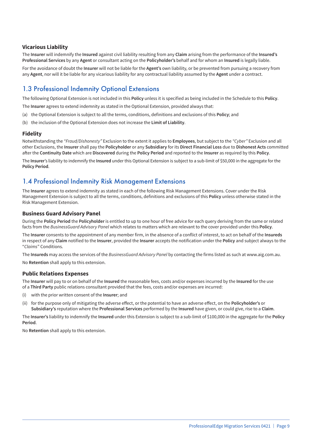#### **Vicarious Liability**

The **Insurer** will indemnify the **Insured** against civil liability resulting from any **Claim** arising from the performance of the **Insured's Professional Services** by any **Agent** or consultant acting on the **Policyholder's** behalf and for whom an **Insured** is legally liable.

For the avoidance of doubt the **Insurer** will not be liable for the **Agent's** own liability, or be prevented from pursuing a recovery from any **Agent**, nor will it be liable for any vicarious liability for any contractual liability assumed by the **Agent** under a contract.

# 1.3 Professional Indemnity Optional Extensions

The following Optional Extension is not included in this **Policy** unless it is specified as being included in the Schedule to this **Policy**.

The **Insurer** agrees to extend indemnity as stated in the Optional Extension, provided always that:

- (a) the Optional Extension is subject to all the terms, conditions, definitions and exclusions of this **Policy**; and
- (b) the inclusion of the Optional Extension does not increase the **Limit of Liability**.

#### **Fidelity**

Notwithstanding the *"Fraud/Dishonesty"* Exclusion to the extent it applies to **Employees**, but subject to the *"Cyber"* Exclusion and all other Exclusions, the **Insurer** shall pay the **Policyholder** or any **Subsidiary** for its **Direct Financial Loss** due to **Dishonest Acts** committed after the **Continuity Date** which are **Discovered** during the **Policy Period** and reported to the **Insurer** as required by this **Policy**.

The **Insurer**'s liability to indemnify the **Insured** under this Optional Extension is subject to a sub-limit of \$50,000 in the aggregate for the **Policy Period**.

### 1.4 Professional Indemnity Risk Management Extensions

The **Insurer** agrees to extend indemnity as stated in each of the following Risk Management Extensions. Cover under the Risk Management Extension is subject to all the terms, conditions, definitions and exclusions of this **Policy** unless otherwise stated in the Risk Management Extension.

#### **Business Guard Advisory Panel**

During the **Policy Period** the **Policyholder** is entitled to up to one hour of free advice for each query deriving from the same or related facts from the *BusinessGuard Advisory Panel* which relates to matters which are relevant to the cover provided under this **Policy**.

The **Insurer** consents to the appointment of any member firm, in the absence of a conflict of interest, to act on behalf of the **Insureds** in respect of any **Claim** notified to the **Insurer**, provided the **Insurer** accepts the notification under the **Policy** and subject always to the "*Claims*" Conditions.

The **Insureds** may access the services of the *BusinessGuard Advisory Panel* by contacting the firms listed as such at www.aig.com.au.

No **Retention** shall apply to this extension.

#### **Public Relations Expenses**

The **Insurer** will pay to or on behalf of the **Insured** the reasonable fees, costs and/or expenses incurred by the **Insured** for the use of a **Third Party** public relations consultant provided that the fees, costs and/or expenses are incurred:

- (i) with the prior written consent of the **Insurer**; and
- (ii) for the purpose only of mitigating the adverse effect, or the potential to have an adverse effect, on the **Policyholder's** or **Subsidiary's** reputation where the **Professional Services** performed by the **Insured** have given, or could give, rise to a **Claim**.

The **Insurer's** liability to indemnify the **Insured** under this Extension is subject to a sub-limit of \$100,000 in the aggregate for the **Policy Period**.

No **Retention** shall apply to this extension.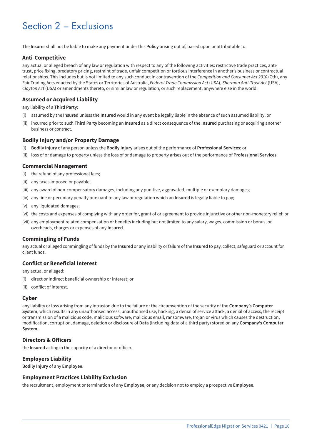# Section 2 – Exclusions

The **Insurer** shall not be liable to make any payment under this **Policy** arising out of, based upon or attributable to:

#### **Anti-Competitive**

any actual or alleged breach of any law or regulation with respect to any of the following activities: restrictive trade practices, antitrust, price fixing, predatory pricing, restraint of trade, unfair competition or tortious interference in another's business or contractual relationships. This includes but is not limited to any such conduct in contravention of the *Competition and Consumer Act 2010* (Cth), any Fair Trading Acts enacted by the States or Territories of Australia, *Federal Trade Commission Act* (USA), *Sherman Anti-Trust Act* (USA), *Clayton Act* (USA) or amendments thereto, or similar law or regulation, or such replacement, anywhere else in the world.

#### **Assumed or Acquired Liability**

any liability of a **Third Party**:

- (i) assumed by the **Insured** unless the **Insured** would in any event be legally liable in the absence of such assumed liability; or
- (ii) incurred prior to such **Third Party** becoming an **Insured** as a direct consequence of the **Insured** purchasing or acquiring another business or contract.

#### **Bodily Injury and/or Property Damage**

- (i) **Bodily Injury** of any person unless the **Bodily Injury** arises out of the performance of **Professional Services**; or
- (ii) loss of or damage to property unless the loss of or damage to property arises out of the performance of **Professional Services**.

#### **Commercial Management**

- (i) the refund of any professional fees;
- (ii) any taxes imposed or payable;
- (iii) any award of non-compensatory damages, including any punitive, aggravated, multiple or exemplary damages;
- (iv) any fine or pecuniary penalty pursuant to any law or regulation which an **Insured** is legally liable to pay;
- (v) any liquidated damages;
- (vi) the costs and expenses of complying with any order for, grant of or agreement to provide injunctive or other non-monetary relief; or
- (vii) any employment related compensation or benefits including but not limited to any salary, wages, commission or bonus, or overheads, charges or expenses of any **Insured**.

#### **Commingling of Funds**

any actual or alleged commingling of funds by the **Insured** or any inability or failure of the **Insured** to pay, collect, safeguard or account for client funds.

#### **Conflict or Beneficial Interest**

any actual or alleged:

- (i) direct or indirect beneficial ownership or interest; or
- (ii) conflict of interest.

#### **Cyber**

any liability or loss arising from any intrusion due to the failure or the circumvention of the security of the **Company's Computer System**, which results in any unauthorised access, unauthorised use, hacking, a denial of service attack, a denial of access, the receipt or transmission of a malicious code, malicious software, malicious email, ransomware, trojan or virus which causes the destruction, modification, corruption, damage, deletion or disclosure of **Data** (including data of a third party) stored on any **Company's Computer System**.

#### **Directors & Officers**

the **Insured** acting in the capacity of a director or officer.

#### **Employers Liability**

**Bodily Injury** of any **Employee**.

#### **Employment Practices Liability Exclusion**

the recruitment, employment or termination of any **Employee**, or any decision not to employ a prospective **Employee**.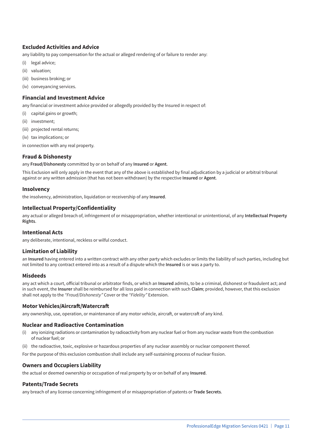#### **Excluded Activities and Advice**

any liability to pay compensation for the actual or alleged rendering of or failure to render any:

- (i) legal advice;
- (ii) valuation;
- (iii) business broking; or
- (iv) conveyancing services.

#### **Financial and Investment Advice**

any financial or investment advice provided or allegedly provided by the Insured in respect of:

- (i) capital gains or growth;
- (ii) investment;
- (iii) projected rental returns;
- (iv) tax implications; or
- in connection with any real property.

#### **Fraud & Dishonesty**

any **Fraud/Dishonesty** committed by or on behalf of any **Insured** or **Agent**.

This Exclusion will only apply in the event that any of the above is established by final adjudication by a judicial or arbitral tribunal against or any written admission (that has not been withdrawn) by the respective **Insured** or **Agent**.

#### **Insolvency**

the insolvency, administration, liquidation or receivership of any **Insured**.

#### **Intellectual Property/Confidentiality**

any actual or alleged breach of, infringement of or misappropriation, whether intentional or unintentional, of any **Intellectual Property Rights**.

#### **Intentional Acts**

any deliberate, intentional, reckless or wilful conduct.

#### **Limitation of Liability**

an **Insured** having entered into a written contract with any other party which excludes or limits the liability of such parties, including but not limited to any contract entered into as a result of a dispute which the **Insured** is or was a party to.

#### **Misdeeds**

any act which a court, official tribunal or arbitrator finds, or which an **Insured** admits, to be a criminal, dishonest or fraudulent act; and in such event, the **Insurer** shall be reimbursed for all loss paid in connection with such **Claim**; provided, however, that this exclusion shall not apply to the *"Fraud/Dishonesty"* Cover or the *"Fidelity"* Extension.

#### **Motor Vehicles/Aircraft/Watercraft**

any ownership, use, operation, or maintenance of any motor vehicle, aircraft, or watercraft of any kind.

#### **Nuclear and Radioactive Contamination**

- (i) any ionizing radiations or contamination by radioactivity from any nuclear fuel or from any nuclear waste from the combustion of nuclear fuel; or
- (ii) the radioactive, toxic, explosive or hazardous properties of any nuclear assembly or nuclear component thereof.

For the purpose of this exclusion combustion shall include any self-sustaining process of nuclear fission.

#### **Owners and Occupiers Liability**

the actual or deemed ownership or occupation of real property by or on behalf of any **Insured**.

#### **Patents/Trade Secrets**

any breach of any license concerning infringement of or misappropriation of patents or **Trade Secrets**.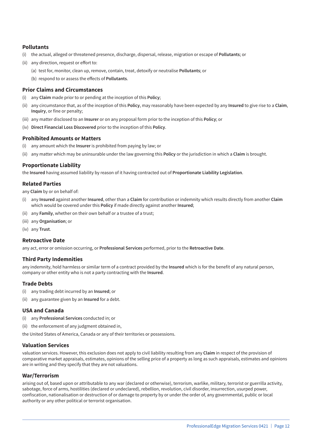#### **Pollutants**

- (i) the actual, alleged or threatened presence, discharge, dispersal, release, migration or escape of **Pollutants**; or
- (ii) any direction, request or effort to:
	- (a) test for, monitor, clean up, remove, contain, treat, detoxify or neutralise **Pollutants**; or
	- (b) respond to or assess the effects of **Pollutants**.

#### **Prior Claims and Circumstances**

- (i) any **Claim** made prior to or pending at the inception of this **Policy**;
- (ii) any circumstance that, as of the inception of this **Policy**, may reasonably have been expected by any **Insured** to give rise to a **Claim**, **Inquiry**, or fine or penalty;
- (iii) any matter disclosed to an **Insurer** or on any proposal form prior to the inception of this **Policy**; or
- (iv) **Direct Financial Loss Discovered** prior to the inception of this **Policy**.

#### **Prohibited Amounts or Matters**

- (i) any amount which the **Insurer** is prohibited from paying by law; or
- (ii) any matter which may be uninsurable under the law governing this **Policy** or the jurisdiction in which a **Claim** is brought.

#### **Proportionate Liability**

the **Insured** having assumed liability by reason of it having contracted out of **Proportionate Liability Legislation**.

#### **Related Parties**

any **Claim** by or on behalf of:

- (i) any **Insured** against another **Insured**, other than a **Claim** for contribution or indemnity which results directly from another **Claim** which would be covered under this **Policy** if made directly against another **Insured**;
- (ii) any **Family**, whether on their own behalf or a trustee of a trust;
- (iii) any **Organisation**; or
- (iv) any **Trust**.

#### **Retroactive Date**

any act, error or omission occurring, or **Professional Services** performed, prior to the **Retroactive Date**.

#### **Third Party Indemnities**

any indemnity, hold harmless or similar term of a contract provided by the **Insured** which is for the benefit of any natural person, company or other entity who is not a party contracting with the **Insured**.

#### **Trade Debts**

- (i) any trading debt incurred by an **Insured**; or
- (ii) any guarantee given by an **Insured** for a debt.

#### **USA and Canada**

- (i) any **Professional Services** conducted in; or
- (ii) the enforcement of any judgment obtained in,

the United States of America, Canada or any of their territories or possessions.

#### **Valuation Services**

valuation services. However, this exclusion does not apply to civil liability resulting from any **Claim** in respect of the provision of comparative market appraisals, estimates, opinions of the selling price of a property as long as such appraisals, estimates and opinions are in writing and they specify that they are not valuations.

#### **War/Terrorism**

arising out of, based upon or attributable to any war (declared or otherwise), terrorism, warlike, military, terrorist or guerrilla activity, sabotage, force of arms, hostilities (declared or undeclared), rebellion, revolution, civil disorder, insurrection, usurped power, confiscation, nationalisation or destruction of or damage to property by or under the order of, any governmental, public or local authority or any other political or terrorist organisation.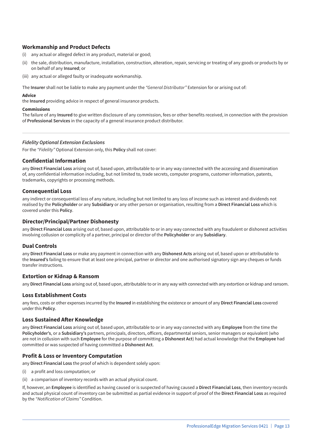#### **Workmanship and Product Defects**

- (i) any actual or alleged defect in any product, material or good;
- (ii) the sale, distribution, manufacture, installation, construction, alteration, repair, servicing or treating of any goods or products by or on behalf of any **Insured**; or
- (iii) any actual or alleged faulty or inadequate workmanship.

The **Insurer** shall not be liable to make any payment under the *"General Distributor"* Extension for or arising out of:

#### **Advice**

the **Insured** providing advice in respect of general insurance products.

#### **Commissions**

The failure of any **Insured** to give written disclosure of any commission, fees or other benefits received, in connection with the provision of **Professional Services** in the capacity of a general insurance product distributor.

#### *Fidelity Optional Extension Exclusions*

For the *"Fidelity"* Optional Extension only, this **Policy** shall not cover:

#### **Confidential Information**

any **Direct Financial Loss** arising out of, based upon, attributable to or in any way connected with the accessing and dissemination of, any confidential information including, but not limited to, trade secrets, computer programs, customer information, patents, trademarks, copyrights or processing methods.

#### **Consequential Loss**

any indirect or consequential loss of any nature, including but not limited to any loss of income such as interest and dividends not realised by the **Policyholder** or any **Subsidiary** or any other person or organisation, resulting from a **Direct Financial Loss** which is covered under this **Policy**.

#### **Director/Principal/Partner Dishonesty**

any **Direct Financial Loss** arising out of, based upon, attributable to or in any way connected with any fraudulent or dishonest activities involving collusion or complicity of a partner, principal or director of the **Policyholder** or any **Subsidiary**.

#### **Dual Controls**

any **Direct Financial Loss** or make any payment in connection with any **Dishonest Acts** arising out of, based upon or attributable to the **Insured's** failing to ensure that at least one principal, partner or director and one authorised signatory sign any cheques or funds transfer instructions.

#### **Extortion or Kidnap & Ransom**

any **Direct Financial Loss** arising out of, based upon, attributable to or in any way with connected with any extortion or kidnap and ransom.

#### **Loss Establishment Costs**

any fees, costs or other expenses incurred by the **Insured** in establishing the existence or amount of any **Direct Financial Loss** covered under this **Policy**.

#### **Loss Sustained After Knowledge**

any **Direct Financial Loss** arising out of, based upon, attributable to or in any way connected with any **Employee** from the time the **Policyholder's**, or a **Subsidiary's** partners, principals, directors, officers, departmental seniors, senior managers or equivalent (who are not in collusion with such **Employee** for the purpose of committing a **Dishonest Act**) had actual knowledge that the **Employee** had committed or was suspected of having committed a **Dishonest Act**.

#### **Profit & Loss or Inventory Computation**

any **Direct Financial Loss** the proof of which is dependent solely upon:

- (i) a profit and loss computation; or
- (ii) a comparison of inventory records with an actual physical count.

If, however, an **Employee** is identified as having caused or is suspected of having caused a **Direct Financial Loss**, then inventory records and actual physical count of inventory can be submitted as partial evidence in support of proof of the **Direct Financial Loss** as required by the *"Notification of Claims"* Condition.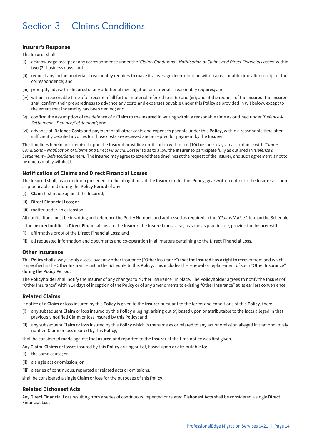# Section 3 – Claims Conditions

#### **Insurer's Response**

The **Insurer** shall:

- (i) acknowledge receipt of any correspondence under the '*Claims Conditions Notification of Claims and Direct Financial Losses'* within two (2) business days; and
- (ii) request any further material it reasonably requires to make its coverage determination within a reasonable time after receipt of the correspondence; and
- (iii) promptly advise the **Insured** of any additional investigation or material it reasonably requires; and
- (iv) within a reasonable time after receipt of all further material referred to in (ii) and (iii); and at the request of the **Insured**, the **Insurer** shall confirm their preparedness to advance any costs and expenses payable under this **Policy** as provided in (vi) below, except to the extent that indemnity has been denied; and
- (v) confirm the assumption of the defence of a **Claim** to the **Insured** in writing within a reasonable time as outlined under *'Defence & Settlement – Defence/Settlement'*; and
- (vi) advance all **Defence Costs** and payment of all other costs and expenses payable under this **Policy**, within a reasonable time after sufficiently detailed invoices for those costs are received and accepted for payment by the **Insurer**.

The timelines herein are premised upon the **Insured** providing notification within ten (10) business days in accordance with *'Claims Conditions – Notification of Claims and Direct Financial Losses'* so as to allow the **Insurer** to participate fully as outlined in *'Defence & Settlement – Defence/Settlement.'* The **Insured** may agree to extend these timelines at the request of the **Insurer**, and such agreement is not to be unreasonably withheld.

#### **Notification of Claims and Direct Financial Losses**

The **Insured** shall, as a condition precedent to the obligations of the **Insurer** under this **Policy**, give written notice to the **Insurer** as soon as practicable and during the **Policy Period** of any:

- (i) **Claim** first made against the **Insured**;
- (ii) **Direct Financial Loss**; or
- (iii) matter under an extension.

All notifications must be in writing and reference the Policy Number, and addressed as required in the *"Claims Notice"* Item on the Schedule.

If the **Insured** notifies a **Direct Financial Loss** to the **Insurer**, the **Insured** must also, as soon as practicable, provide the **Insurer** with:

- (i) affirmative proof of the **Direct Financial Loss**; and
- (ii) all requested information and documents and co-operation in all matters pertaining to the **Direct Financial Loss**.

#### **Other Insurance**

This **Policy** shall always apply excess over any other insurance ("Other Insurance") that the **Insured** has a right to recover from and which is specified in the Other Insurance List in the Schedule to this **Policy**. This includes the renewal or replacement of such "Other Insurance" during the **Policy Period**.

The **Policyholder** shall notify the **Insurer** of any changes to "Other Insurance" in place. The **Policyholder** agrees to notify the **Insurer** of "Other Insurance" within 14 days of inception of the **Policy** or of any amendments to existing "Other Insurance" at its earliest convenience.

#### **Related Claims**

If notice of a **Claim** or loss insured by this **Policy** is given to the **Insurer** pursuant to the terms and conditions of this **Policy**, then:

- (i) any subsequent **Claim** or loss insured by this **Policy** alleging, arising out of, based upon or attributable to the facts alleged in that previously notified **Claim** or loss insured by this **Policy**; and
- (ii) any subsequent **Claim** or loss insured by this **Policy** which is the same as or related to any act or omission alleged in that previously notified **Claim** or loss insured by this **Policy**,

shall be considered made against the **Insured** and reported to the **Insurer** at the time notice was first given.

Any **Claim**, **Claims** or losses insured by this **Policy** arising out of, based upon or attributable to:

- (i) the same cause; or
- (ii) a single act or omission; or
- (iii) a series of continuous, repeated or related acts or omissions,

shall be considered a single **Claim** or loss for the purposes of this **Policy**.

#### **Related Dishonest Acts**

Any **Direct Financial Loss** resulting from a series of continuous, repeated or related **Dishonest Acts** shall be considered a single **Direct Financial Loss**.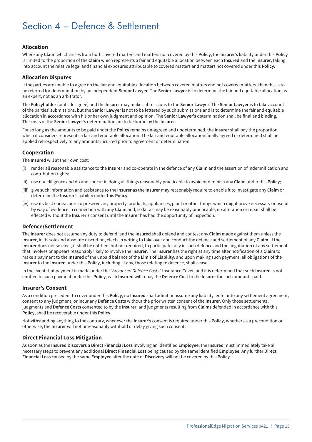# Section 4 – Defence & Settlement

#### **Allocation**

Where any **Claim** which arises from both covered matters and matters not covered by this **Policy**, the **Insurer's** liability under this **Policy** is limited to the proportion of the **Claim** which represents a fair and equitable allocation between each **Insured** and the **Insurer**, taking into account the relative legal and financial exposures attributable to covered matters and matters not covered under this **Policy**.

#### **Allocation Disputes**

If the parties are unable to agree on the fair and equitable allocation between covered matters and not covered matters, then this is to be referred for determination by an independent **Senior Lawyer**. The **Senior Lawyer** is to determine the fair and equitable allocation as an expert, not as an arbitrator.

The **Policyholder** (or its designee) and the **Insurer** may make submissions to the **Senior Lawyer**. The **Senior Lawyer** is to take account of the parties' submissions, but the **Senior Lawyer** is not to be fettered by such submissions and is to determine the fair and equitable allocation in accordance with his or her own judgment and opinion. The **Senior Lawyer's** determination shall be final and binding. The costs of the **Senior Lawyer's** determination are to be borne by the **Insurer**.

For so long as the amounts to be paid under the **Policy** remains un-agreed and undetermined, the **Insurer** shall pay the proportion which it considers represents a fair and equitable allocation. The fair and equitable allocation finally agreed or determined shall be applied retrospectively to any amounts incurred prior to agreement or determination.

#### **Cooperation**

The **Insured** will at their own cost:

- (i) render all reasonable assistance to the **Insurer** and co-operate in the defence of any **Claim** and the assertion of indemnification and contribution rights;
- (ii) use due diligence and do and concur in doing all things reasonably practicable to avoid or diminish any **Claim** under this **Policy**;
- (iii) give such information and assistance to the **Insurer** as the **Insurer** may reasonably require to enable it to investigate any **Claim** or determine the **Insurer's** liability under this **Policy**;
- (iv) use its best endeavours to preserve any property, products, appliances, plant or other things which might prove necessary or useful by way of evidence in connection with any **Claim** and, so far as may be reasonably practicable, no alteration or repair shall be effected without the **Insurer's** consent until the **Insurer** has had the opportunity of inspection.

#### **Defence/Settlement**

The **Insurer** does not assume any duty to defend, and the **Insured** shall defend and contest any **Claim** made against them unless the **Insurer**, in its sole and absolute discretion, elects in writing to take over and conduct the defence and settlement of any **Claim**. If the **Insurer** does not so elect, it shall be entitled, but not required, to participate fully in such defence and the negotiation of any settlement that involves or appears reasonably likely to involve the **Insurer**. The **Insurer** has the right at any time after notification of a **Claim** to make a payment to the **Insured** of the unpaid balance of the **Limit of Liability**, and upon making such payment, all obligations of the **Insurer** to the **Insured** under this **Policy**, including, if any, those relating to defence, shall cease.

In the event that payment is made under the *"Advanced Defence Costs"* Insurance Cover, and it is determined that such **Insured** is not entitled to such payment under this **Policy**, each **Insured** will repay the **Defence Cost** to the **Insurer** for such amounts paid.

#### **Insurer's Consent**

As a condition precedent to cover under this **Policy**, no **Insured** shall admit or assume any liability, enter into any settlement agreement, consent to any judgment, or incur any **Defence Costs** without the prior written consent of the **Insurer**. Only those settlements, judgments and **Defence Costs** consented to by the **Insurer**, and judgments resulting from **Claims** defended in accordance with this **Policy**, shall be recoverable under this **Policy**.

Notwithstanding anything to the contrary, whenever the **Insurer's** consent is required under this **Policy**, whether as a precondition or otherwise, the **Insurer** will not unreasonably withhold or delay giving such consent.

#### **Direct Financial Loss Mitigation**

As soon as the **Insured Discovers** a **Direct Financial Loss** involving an identified **Employee**, the **Insured** must immediately take all necessary steps to prevent any additional **Direct Financial Loss** being caused by the same identified **Employee**. Any further **Direct Financial Loss** caused by the same **Employee** after the date of **Discovery** will not be covered by this **Policy**.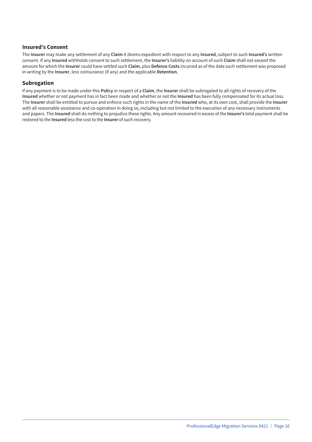#### **Insured's Consent**

The **Insurer** may make any settlement of any **Claim** it deems expedient with respect to any **Insured**, subject to such **Insured's** written consent. If any **Insured** withholds consent to such settlement, the **Insurer's** liability on account of such **Claim** shall not exceed the amount for which the **Insurer** could have settled such **Claim**, plus **Defence Costs** incurred as of the date such settlement was proposed in writing by the **Insurer**, less coinsurance (if any) and the applicable **Retention**.

#### **Subrogation**

If any payment is to be made under this **Policy** in respect of a **Claim**, the **Insurer** shall be subrogated to all rights of recovery of the **Insured** whether or not payment has in fact been made and whether or not the **Insured** has been fully compensated for its actual loss. The **Insurer** shall be entitled to pursue and enforce such rights in the name of the **Insured** who, at its own cost, shall provide the **Insurer** with all reasonable assistance and co-operation in doing so, including but not limited to the execution of any necessary instruments and papers. The **Insured** shall do nothing to prejudice these rights. Any amount recovered in excess of the **Insurer's** total payment shall be restored to the **Insured** less the cost to the **Insurer** of such recovery.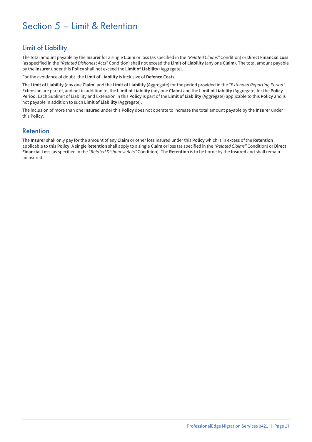# Section 5 – Limit & Retention

# Limit of Liability

The total amount payable by the **Insurer** for a single **Claim** or loss (as specified in the *"Related Claims"* Condition) or **Direct Financial Loss** (as specified in the *"Related Dishonest Acts"* Condition) shall not exceed the **Limit of Liability** (any one **Claim**). The total amount payable by the **Insurer** under this **Policy** shall not exceed the **Limit of Liability** (Aggregate).

For the avoidance of doubt, the **Limit of Liability** is inclusive of **Defence Costs**.

The **Limit of Liability** (any one **Claim**) and the **Limit of Liability** (Aggregate) for the period provided in the *"Extended Reporting Period"* Extension are part of, and not in addition to, the **Limit of Liability** (any one **Claim**) and the **Limit of Liability** (Aggregate) for the **Policy Period**. Each Sublimit of Liability and Extension in this **Policy** is part of the **Limit of Liability** (Aggregate) applicable to this **Policy** and is not payable in addition to such **Limit of Liability** (Aggregate).

The inclusion of more than one **Insured** under this **Policy** does not operate to increase the total amount payable by the **Insurer** under this **Policy**.

### Retention

The **Insurer** shall only pay for the amount of any **Claim** or other loss insured under this **Policy** which is in excess of the **Retention** applicable to this **Policy**. A single **Retention** shall apply to a single **Claim** or loss (as specified in the *"Related Claims"* Condition) or **Direct Financial Loss** (as specified in the *"Related Dishonest Acts"* Condition). The **Retention** is to be borne by the **Insured** and shall remain uninsured.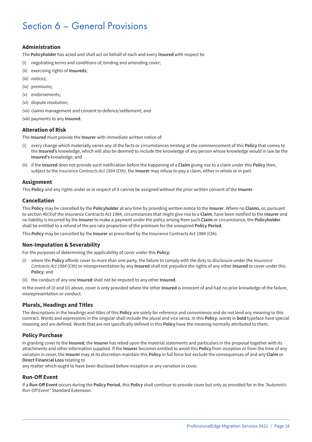# Section 6 – General Provisions

#### **Administration**

The **Policyholder** has acted and shall act on behalf of each and every **Insured** with respect to:

- (i) negotiating terms and conditions of, binding and amending cover;
- (ii) exercising rights of **Insureds**;
- (iii) notices;
- (iv) premiums;
- (v) endorsements;
- (vi) dispute resolution;
- (vii) claims management and consent to defence/settlement; and
- (viii) payments to any **Insured**.

#### **Alteration of Risk**

The **Insured** must provide the **Insurer** with immediate written notice of:

- (i) every change which materially varies any of the facts or circumstances existing at the commencement of this **Policy** that comes to the **Insured's** knowledge, which will also be deemed to include the knowledge of any person whose knowledge would in law be the **Insured's** knowledge; and
- (ii) if the **Insured** does not provide such notification before the happening of a **Claim** giving rise to a claim under this **Policy** then, subject to the *Insurance Contracts Act 1984* (Cth), the **Insurer** may refuse to pay a claim, either in whole or in part.

#### **Assignment**

This **Policy** and any rights under or in respect of it cannot be assigned without the prior written consent of the **Insurer**.

#### **Cancellation**

This **Policy** may be cancelled by the **Policyholder** at any time by providing written notice to the **Insurer**. Where no **Claims**, or, pursuant to section 40(3)of the Insurance Contracts Act 1984, circumstances that might give rise to a **Claim**, have been notified to the **Insurer** and no liability is incurred by the **Insurer** to make a payment under the policy arising from such **Claim** or circumstance, the **Policyholder** shall be entitled to a refund of the pro rata proportion of the premium for the unexpired **Policy Period**.

This **Policy** may be cancelled by the **Insurer** as prescribed by the Insurance Contracts Act 1984 (Cth).

#### **Non-Imputation & Severability**

For the purposes of determining the applicability of cover under this **Policy**:

- (i) where the **Policy** affords cover to more than one party, the failure to comply with the duty to disclosure under the *Insurance Contracts Act 1984* (Cth) or misrepresentation by any **Insured** shall not prejudice the rights of any other **Insured** to cover under this **Policy**; and
- (ii) the conduct of any one **Insured** shall not be imputed to any other **Insured**.

In the event of (i) and (ii) above, cover is only provided where the other **Insured** is innocent of and had no prior knowledge of the failure, misrepresentation or conduct.

#### **Plurals, Headings and Titles**

The descriptions in the headings and titles of this **Policy** are solely for reference and convenience and do not lend any meaning to this contract. Words and expressions in the singular shall include the plural and vice versa. In this **Policy**, words in **bold** typeface have special meaning and are defined. Words that are not specifically defined in this **Policy** have the meaning normally attributed to them.

#### **Policy Purchase**

In granting cover to the **Insured**, the **Insurer** has relied upon the material statements and particulars in the proposal together with its attachments and other information supplied. If the **Insurer** becomes entitled to avoid this **Policy** from inception or from the time of any variation in cover, the **Insurer** may at its discretion maintain this **Policy** in full force but exclude the consequences of and any **Claim** or **Direct Financial Loss** relating to

any matter which ought to have been disclosed before inception or any variation in cover.

#### **Run-Off Event**

If a **Run-Off Event** occurs during the **Policy Period**, this **Policy** shall continue to provide cover but only as provided for in the *"Automatic Run-Off Event"* Standard Extension.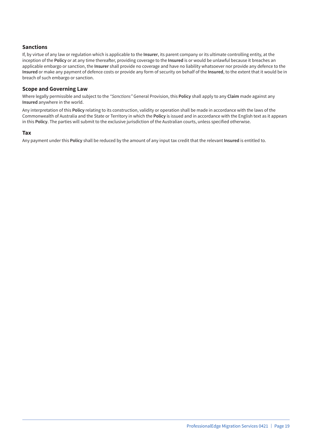#### **Sanctions**

If, by virtue of any law or regulation which is applicable to the **Insurer**, its parent company or its ultimate controlling entity, at the inception of the **Policy** or at any time thereafter, providing coverage to the **Insured** is or would be unlawful because it breaches an applicable embargo or sanction, the **Insurer** shall provide no coverage and have no liability whatsoever nor provide any defence to the **Insured** or make any payment of defence costs or provide any form of security on behalf of the **Insured**, to the extent that it would be in breach of such embargo or sanction.

#### **Scope and Governing Law**

Where legally permissible and subject to the *"Sanctions"* General Provision, this **Policy** shall apply to any **Claim** made against any **Insured** anywhere in the world.

Any interpretation of this **Policy** relating to its construction, validity or operation shall be made in accordance with the laws of the Commonwealth of Australia and the State or Territory in which the **Policy** is issued and in accordance with the English text as it appears in this **Policy**. The parties will submit to the exclusive jurisdiction of the Australian courts, unless specified otherwise.

#### **Tax**

Any payment under this **Policy** shall be reduced by the amount of any input tax credit that the relevant **Insured** is entitled to.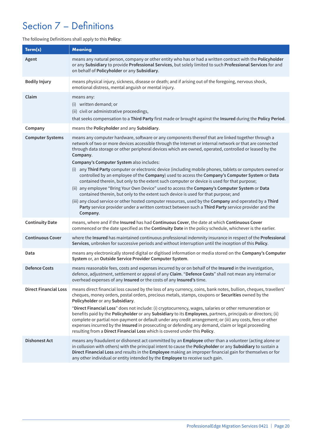# Section 7 – Definitions

#### The following Definitions shall apply to this **Policy**:

| Term(s)                      | <b>Meaning</b>                                                                                                                                                                                                                                                                                                                                                                                                                                                                                                                                                                                                                                                                                                                                                                        |
|------------------------------|---------------------------------------------------------------------------------------------------------------------------------------------------------------------------------------------------------------------------------------------------------------------------------------------------------------------------------------------------------------------------------------------------------------------------------------------------------------------------------------------------------------------------------------------------------------------------------------------------------------------------------------------------------------------------------------------------------------------------------------------------------------------------------------|
| Agent                        | means any natural person, company or other entity who has or had a written contract with the Policyholder<br>or any Subsidiary to provide Professional Services, but solely limited to such Professional Services for and<br>on behalf of Policyholder or any Subsidiary.                                                                                                                                                                                                                                                                                                                                                                                                                                                                                                             |
| <b>Bodily Injury</b>         | means physical injury, sickness, disease or death; and if arising out of the foregoing, nervous shock,<br>emotional distress, mental anguish or mental injury.                                                                                                                                                                                                                                                                                                                                                                                                                                                                                                                                                                                                                        |
| Claim                        | means any:<br>(i) written demand; or<br>(ii) civil or administrative proceedings,<br>that seeks compensation to a Third Party first made or brought against the Insured during the Policy Period.                                                                                                                                                                                                                                                                                                                                                                                                                                                                                                                                                                                     |
| Company                      | means the Policyholder and any Subsidiary.                                                                                                                                                                                                                                                                                                                                                                                                                                                                                                                                                                                                                                                                                                                                            |
| <b>Computer Systems</b>      | means any computer hardware, software or any components thereof that are linked together through a<br>network of two or more devices accessible through the Internet or internal network or that are connected<br>through data storage or other peripheral devices which are owned, operated, controlled or leased by the<br>Company.<br>Company's Computer System also includes:<br>(i) any Third Party computer or electronic device (including mobile phones, tablets or computers owned or<br>controlled by an employee of the Company) used to access the Company's Computer System or Data                                                                                                                                                                                      |
|                              | contained therein, but only to the extent such computer or device is used for that purpose;<br>(ii) any employee "Bring Your Own Device" used to access the Company's Computer System or Data<br>contained therein, but only to the extent such device is used for that purpose; and<br>(iii) any cloud service or other hosted computer resources, used by the Company and operated by a Third<br>Party service provider under a written contract between such a Third Party service provider and the<br>Company.                                                                                                                                                                                                                                                                    |
| <b>Continuity Date</b>       | means, where and if the Insured has had Continuous Cover, the date at which Continuous Cover<br>commenced or the date specified as the Continuity Date in the policy schedule, whichever is the earlier.                                                                                                                                                                                                                                                                                                                                                                                                                                                                                                                                                                              |
| <b>Continuous Cover</b>      | where the Insured has maintained continuous professional indemnity insurance in respect of the Professional<br>Services, unbroken for successive periods and without interruption until the inception of this Policy.                                                                                                                                                                                                                                                                                                                                                                                                                                                                                                                                                                 |
| Data                         | means any electronically stored digital or digitised information or media stored on the Company's Computer<br>System or, an Outside Service Provider Computer System.                                                                                                                                                                                                                                                                                                                                                                                                                                                                                                                                                                                                                 |
| <b>Defence Costs</b>         | means reasonable fees, costs and expenses incurred by or on behalf of the Insured in the investigation,<br>defence, adjustment, settlement or appeal of any Claim. "Defence Costs" shall not mean any internal or<br>overhead expenses of any Insured or the costs of any Insured's time.                                                                                                                                                                                                                                                                                                                                                                                                                                                                                             |
| <b>Direct Financial Loss</b> | means direct financial loss caused by the loss of any currency, coins, bank notes, bullion, cheques, travellers'<br>cheques, money orders, postal orders, precious metals, stamps, coupons or Securities owned by the<br>Policyholder or any Subsidiary.<br>"Direct Financial Loss" does not include: (i) cryptocurrency, wages, salaries or other remuneration or<br>benefits paid by the Policyholder or any Subsidiary to its Employees, partners, principals or directors; (ii)<br>complete or partial non-payment or default under any credit arrangement; or (iii) any costs, fees or other<br>expenses incurred by the Insured in prosecuting or defending any demand, claim or legal proceeding<br>resulting from a Direct Financial Loss which is covered under this Policy. |
| <b>Dishonest Act</b>         | means any fraudulent or dishonest act committed by an Employee other than a volunteer (acting alone or<br>in collusion with others) with the principal intent to cause the Policyholder or any Subsidiary to sustain a<br>Direct Financial Loss and results in the Employee making an improper financial gain for themselves or for<br>any other individual or entity intended by the Employee to receive such gain.                                                                                                                                                                                                                                                                                                                                                                  |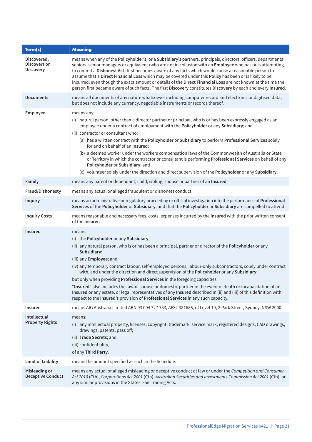| Term(s)                                         | <b>Meaning</b>                                                                                                                                                                                                                                                                                                                                                                                                                                                                                                                                                                                                                                                                                                                                                                                                                |
|-------------------------------------------------|-------------------------------------------------------------------------------------------------------------------------------------------------------------------------------------------------------------------------------------------------------------------------------------------------------------------------------------------------------------------------------------------------------------------------------------------------------------------------------------------------------------------------------------------------------------------------------------------------------------------------------------------------------------------------------------------------------------------------------------------------------------------------------------------------------------------------------|
| Discovered,<br>Discovers or<br><b>Discovery</b> | means when any of the Policyholder's, or a Subsidiary's partners, principals, directors, officers, departmental<br>seniors, senior managers or equivalent (who are not in collusion with an Employee who has or is attempting<br>to commit a Dishonest Act) first becomes aware of any facts which would cause a reasonable person to<br>assume that a Direct Financial Loss which may be covered under this Policy has been or is likely to be<br>incurred, even though the exact amount or details of the Direct Financial Loss are not known at the time the<br>person first became aware of such facts. The first Discovery constitutes Discovery by each and every Insured.                                                                                                                                              |
| <b>Documents</b>                                | means all documents of any nature whatsoever including computer record and electronic or digitised data;<br>but does not include any currency, negotiable instruments or records thereof.                                                                                                                                                                                                                                                                                                                                                                                                                                                                                                                                                                                                                                     |
| Employee                                        | means any:<br>(i) natural person, other than a director partner or principal, who is or has been expressly engaged as an<br>employee under a contract of employment with the Policyholder or any Subsidiary; and<br>(ii) contractor or consultant who:<br>(a) has a written contract with the Policyholder or Subsidiary to perform Professional Services solely<br>for and on behalf of an Insured;<br>(b) a deemed worker under the workers compensation laws of the Commonwealth of Australia or State<br>or Territory in which the contractor or consultant is performing Professional Services on behalf of any<br>Policyholder or Subsidiary; and<br>(c) volunteer solely under the direction and direct supervision of the Policyholder or any Subsidiary.                                                             |
| Family                                          | means any parent or dependant, child, sibling, spouse or partner of an Insured.                                                                                                                                                                                                                                                                                                                                                                                                                                                                                                                                                                                                                                                                                                                                               |
| Fraud/Dishonesty                                | means any actual or alleged fraudulent or dishonest conduct.                                                                                                                                                                                                                                                                                                                                                                                                                                                                                                                                                                                                                                                                                                                                                                  |
| <b>Inquiry</b>                                  | means an administrative or regulatory proceeding or official investigation into the performance of Professional<br>Services of the Policyholder or Subsidiary, and that the Policyholder or Subsidiary are compelled to attend.                                                                                                                                                                                                                                                                                                                                                                                                                                                                                                                                                                                               |
| <b>Inquiry Costs</b>                            | means reasonable and necessary fees, costs, expenses incurred by the Insured with the prior written consent<br>of the Insurer.                                                                                                                                                                                                                                                                                                                                                                                                                                                                                                                                                                                                                                                                                                |
| <b>Insured</b>                                  | means:<br>(i) the Policyholder or any Subsidiary;<br>(ii) any natural person, who is or has been a principal, partner or director of the Policyholder or any<br>Subsidiary;<br>(iii) any Employee; and<br>(iv) any temporary contract labour, self-employed persons, labour-only subcontractors, solely under contract<br>with, and under the direction and direct supervision of the Policyholder or any Subsidiary;<br>but only when providing Professional Services in the foregoing capacities.<br>"Insured" also includes the lawful spouse or domestic partner in the event of death or incapacitation of an<br>Insured or any estate, or legal representatives of any Insured described in (ii) and (iii) of this definition with<br>respect to the Insured's provision of Professional Services in any such capacity. |
| <b>Insurer</b>                                  | means AIG Australia Limited ABN 93 004 727 753, AFSL 381686, of Level 19, 2 Park Street, Sydney, NSW 2000.                                                                                                                                                                                                                                                                                                                                                                                                                                                                                                                                                                                                                                                                                                                    |
| Intellectual<br><b>Property Rights</b>          | means:<br>(i) any intellectual property, licenses, copyright, trademark, service mark, registered designs, CAD drawings,<br>drawings, patents, pass off;<br>(ii) Trade Secrets; and<br>(iii) confidentiality,<br>of any Third Party.                                                                                                                                                                                                                                                                                                                                                                                                                                                                                                                                                                                          |
| <b>Limit of Liability</b>                       | means the amount specified as such in the Schedule.                                                                                                                                                                                                                                                                                                                                                                                                                                                                                                                                                                                                                                                                                                                                                                           |
| Misleading or<br><b>Deceptive Conduct</b>       | means any actual or alleged misleading or deceptive conduct at law or under the Competition and Consumer<br>Act 2010 (Cth), Corporations Act 2001 (Cth), Australian Securities and Investments Commission Act 2001 (Cth), or<br>any similar provisions in the States' Fair Trading Acts.                                                                                                                                                                                                                                                                                                                                                                                                                                                                                                                                      |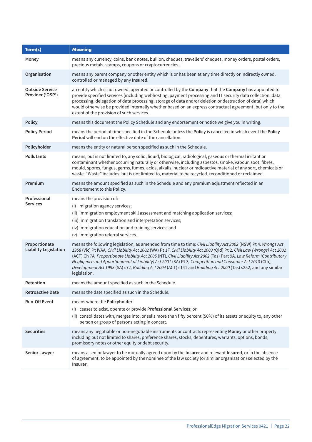| Term(s)                                       | <b>Meaning</b>                                                                                                                                                                                                                                                                                                                                                                                                                                                                                                                                                                                                  |
|-----------------------------------------------|-----------------------------------------------------------------------------------------------------------------------------------------------------------------------------------------------------------------------------------------------------------------------------------------------------------------------------------------------------------------------------------------------------------------------------------------------------------------------------------------------------------------------------------------------------------------------------------------------------------------|
| Money                                         | means any currency, coins, bank notes, bullion, cheques, travellers' cheques, money orders, postal orders,<br>precious metals, stamps, coupons or cryptocurrencies.                                                                                                                                                                                                                                                                                                                                                                                                                                             |
| Organisation                                  | means any parent company or other entity which is or has been at any time directly or indirectly owned,<br>controlled or managed by any Insured.                                                                                                                                                                                                                                                                                                                                                                                                                                                                |
| <b>Outside Service</b><br>Provider ('OSP')    | an entity which is not owned, operated or controlled by the Company that the Company has appointed to<br>provide specified services (including webhosting, payment processing and IT security data collection, data<br>processing, delegation of data processing, storage of data and/or deletion or destruction of data) which<br>would otherwise be provided internally whether based on an express contractual agreement, but only to the<br>extent of the provision of such services.                                                                                                                       |
| <b>Policy</b>                                 | means this document the Policy Schedule and any endorsement or notice we give you in writing.                                                                                                                                                                                                                                                                                                                                                                                                                                                                                                                   |
| <b>Policy Period</b>                          | means the period of time specified in the Schedule unless the Policy is cancelled in which event the Policy<br><b>Period</b> will end on the effective date of the cancellation.                                                                                                                                                                                                                                                                                                                                                                                                                                |
| Policyholder                                  | means the entity or natural person specified as such in the Schedule.                                                                                                                                                                                                                                                                                                                                                                                                                                                                                                                                           |
| <b>Pollutants</b>                             | means, but is not limited to, any solid, liquid, biological, radiological, gaseous or thermal irritant or<br>contaminant whether occurring naturally or otherwise, including asbestos, smoke, vapour, soot, fibres,<br>mould, spores, fungus, germs, fumes, acids, alkalis, nuclear or radioactive material of any sort, chemicals or<br>waste. "Waste" includes, but is not limited to, material to be recycled, reconditioned or reclaimed.                                                                                                                                                                   |
| Premium                                       | means the amount specified as such in the Schedule and any premium adjustment reflected in an<br>Endorsement to this Policy.                                                                                                                                                                                                                                                                                                                                                                                                                                                                                    |
| Professional<br><b>Services</b>               | means the provision of:<br>migration agency services;<br>(i)<br>(ii) immigration employment skill assessment and matching application services;<br>(iii) immigration translation and interpretation services;<br>(iv) immigration education and training services; and<br>(v) immigration referral services.                                                                                                                                                                                                                                                                                                    |
| Proportionate<br><b>Liability Legislation</b> | means the following legislation, as amended from time to time: Civil Liability Act 2002 (NSW) Pt 4, Wrongs Act<br>1958 (Vic) Pt IVAA, Civil Liability Act 2002 (WA) Pt 1F, Civil Liability Act 2003 (Qld) Pt 2, Civil Law (Wrongs) Act 2002<br>(ACT) Ch 7A, Proportionate Liability Act 2005 (NT), Civil Liability Act 2002 (Tas) Part 9A, Law Reform (Contributory<br>Negligence and Apportionment of Liability) Act 2001 (SA) Pt 3, Competition and Consumer Act 2010 (Cth),<br>Development Act 1993 (SA) s72, Building Act 2004 (ACT) s141 and Building Act 2000 (Tas) s252, and any similar<br>legislation. |
| Retention                                     | means the amount specified as such in the Schedule.                                                                                                                                                                                                                                                                                                                                                                                                                                                                                                                                                             |
| <b>Retroactive Date</b>                       | means the date specified as such in the Schedule.                                                                                                                                                                                                                                                                                                                                                                                                                                                                                                                                                               |
| <b>Run-Off Event</b>                          | means where the Policyholder:<br>(i) ceases to exist, operate or provide Professional Services; or<br>(ii) consolidates with, merges into, or sells more than fifty percent (50%) of its assets or equity to, any other<br>person or group of persons acting in concert.                                                                                                                                                                                                                                                                                                                                        |
| <b>Securities</b>                             | means any negotiable or non-negotiable instruments or contracts representing Money or other property<br>including but not limited to shares, preference shares, stocks, debentures, warrants, options, bonds,<br>promissory notes or other equity or debt security.                                                                                                                                                                                                                                                                                                                                             |
| <b>Senior Lawyer</b>                          | means a senior lawyer to be mutually agreed upon by the Insurer and relevant Insured, or in the absence<br>of agreement, to be appointed by the nominee of the law society (or similar organisation) selected by the<br>Insurer.                                                                                                                                                                                                                                                                                                                                                                                |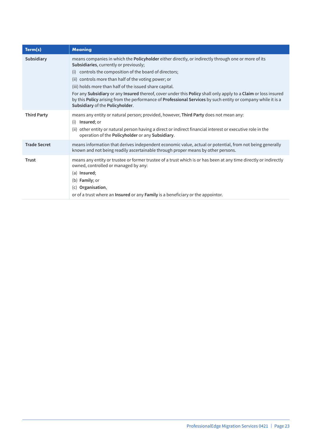| Term(s)             | <b>Meaning</b>                                                                                                                                                                                                                                                                                                           |
|---------------------|--------------------------------------------------------------------------------------------------------------------------------------------------------------------------------------------------------------------------------------------------------------------------------------------------------------------------|
| Subsidiary          | means companies in which the <b>Policyholder</b> either directly, or indirectly through one or more of its<br>Subsidiaries, currently or previously;                                                                                                                                                                     |
|                     | controls the composition of the board of directors;<br>(i)                                                                                                                                                                                                                                                               |
|                     | (ii) controls more than half of the voting power; or                                                                                                                                                                                                                                                                     |
|                     | (iii) holds more than half of the issued share capital.                                                                                                                                                                                                                                                                  |
|                     | For any Subsidiary or any Insured thereof, cover under this Policy shall only apply to a Claim or loss insured<br>by this Policy arising from the performance of Professional Services by such entity or company while it is a<br>Subsidiary of the Policyholder.                                                        |
| <b>Third Party</b>  | means any entity or natural person; provided, however, Third Party does not mean any:<br>Insured; or<br>(i)<br>(ii) other entity or natural person having a direct or indirect financial interest or executive role in the<br>operation of the Policyholder or any Subsidiary.                                           |
| <b>Trade Secret</b> | means information that derives independent economic value, actual or potential, from not being generally<br>known and not being readily ascertainable through proper means by other persons.                                                                                                                             |
| <b>Trust</b>        | means any entity or trustee or former trustee of a trust which is or has been at any time directly or indirectly<br>owned, controlled or managed by any:<br>(a) Insured;<br>(b) <b>Family</b> ; or<br>(c) Organisation,<br>or of a trust where an <b>Insured</b> or any <b>Family</b> is a beneficiary or the appointor. |